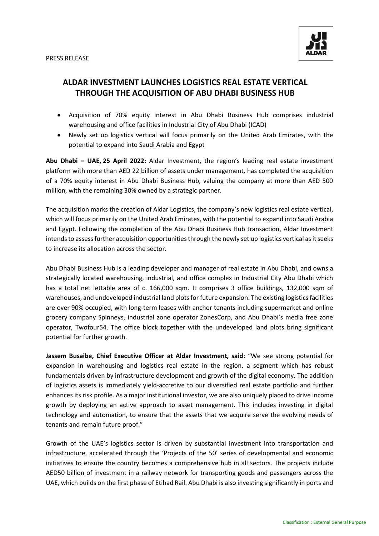

# **ALDAR INVESTMENT LAUNCHES LOGISTICS REAL ESTATE VERTICAL THROUGH THE ACQUISITION OF ABU DHABI BUSINESS HUB**

- Acquisition of 70% equity interest in Abu Dhabi Business Hub comprises industrial warehousing and office facilities in Industrial City of Abu Dhabi (ICAD)
- Newly set up logistics vertical will focus primarily on the United Arab Emirates, with the potential to expand into Saudi Arabia and Egypt

**Abu Dhabi – UAE, 25 April 2022:** Aldar Investment, the region's leading real estate investment platform with more than AED 22 billion of assets under management, has completed the acquisition of a 70% equity interest in Abu Dhabi Business Hub, valuing the company at more than AED 500 million, with the remaining 30% owned by a strategic partner.

The acquisition marks the creation of Aldar Logistics, the company's new logistics real estate vertical, which will focus primarily on the United Arab Emirates, with the potential to expand into Saudi Arabia and Egypt. Following the completion of the Abu Dhabi Business Hub transaction, Aldar Investment intends to assessfurther acquisition opportunities through the newly set up logistics vertical as it seeks to increase its allocation across the sector.

Abu Dhabi Business Hub is a leading developer and manager of real estate in Abu Dhabi, and owns a strategically located warehousing, industrial, and office complex in Industrial City Abu Dhabi which has a total net lettable area of c. 166,000 sqm. It comprises 3 office buildings, 132,000 sqm of warehouses, and undeveloped industrial land plots for future expansion. The existing logistics facilities are over 90% occupied, with long-term leases with anchor tenants including supermarket and online grocery company Spinneys, industrial zone operator ZonesCorp, and Abu Dhabi's media free zone operator, Twofour54. The office block together with the undeveloped land plots bring significant potential for further growth.

**Jassem Busaibe, Chief Executive Officer at Aldar Investment, said**: "We see strong potential for expansion in warehousing and logistics real estate in the region, a segment which has robust fundamentals driven by infrastructure development and growth of the digital economy. The addition of logistics assets is immediately yield-accretive to our diversified real estate portfolio and further enhances its risk profile. As a major institutional investor, we are also uniquely placed to drive income growth by deploying an active approach to asset management. This includes investing in digital technology and automation, to ensure that the assets that we acquire serve the evolving needs of tenants and remain future proof."

Growth of the UAE's logistics sector is driven by substantial investment into transportation and infrastructure, accelerated through the 'Projects of the 50' series of developmental and economic initiatives to ensure the country becomes a comprehensive hub in all sectors. The projects include AED50 billion of investment in a railway network for transporting goods and passengers across the UAE, which builds on the first phase of Etihad Rail. Abu Dhabi is also investing significantly in ports and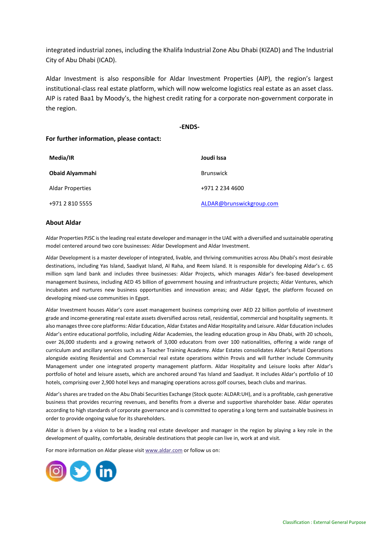integrated industrial zones, including the Khalifa Industrial Zone Abu Dhabi (KIZAD) and The Industrial City of Abu Dhabi (ICAD).

Aldar Investment is also responsible for Aldar Investment Properties (AIP), the region's largest institutional-class real estate platform, which will now welcome logistics real estate as an asset class. AIP is rated Baa1 by Moody's, the highest credit rating for a corporate non-government corporate in the region.

#### **-ENDS-**

### **For further information, please contact:**

| Media/IR                | Joudi Issa               |
|-------------------------|--------------------------|
| <b>Obaid Alyammahi</b>  | <b>Brunswick</b>         |
| <b>Aldar Properties</b> | +971 2 234 4600          |
| +971 2 810 5555         | ALDAR@brunswickgroup.com |

#### **About Aldar**

Aldar Properties PJSC is the leading real estate developer and manager in the UAE with a diversified and sustainable operating model centered around two core businesses: Aldar Development and Aldar Investment.

Aldar Development is a master developer of integrated, livable, and thriving communities across Abu Dhabi's most desirable destinations, including Yas Island, Saadiyat Island, Al Raha, and Reem Island. It is responsible for developing Aldar's c. 65 million sqm land bank and includes three businesses: Aldar Projects, which manages Aldar's fee-based development management business, including AED 45 billion of government housing and infrastructure projects; Aldar Ventures, which incubates and nurtures new business opportunities and innovation areas; and Aldar Egypt, the platform focused on developing mixed-use communities in Egypt.

Aldar Investment houses Aldar's core asset management business comprising over AED 22 billion portfolio of investment grade and income-generating real estate assets diversified across retail, residential, commercial and hospitality segments. It also manages three core platforms: Aldar Education, Aldar Estates and Aldar Hospitality and Leisure. Aldar Education includes Aldar's entire educational portfolio, including Aldar Academies, the leading education group in Abu Dhabi, with 20 schools, over 26,000 students and a growing network of 3,000 educators from over 100 nationalities, offering a wide range of curriculum and ancillary services such as a Teacher Training Academy. Aldar Estates consolidates Aldar's Retail Operations alongside existing Residential and Commercial real estate operations within Provis and will further include Community Management under one integrated property management platform. Aldar Hospitality and Leisure looks after Aldar's portfolio of hotel and leisure assets, which are anchored around Yas Island and Saadiyat. It includes Aldar's portfolio of 10 hotels, comprising over 2,900 hotel keys and managing operations across golf courses, beach clubs and marinas.

Aldar's shares are traded on the Abu Dhabi Securities Exchange (Stock quote: ALDAR:UH), and is a profitable, cash generative business that provides recurring revenues, and benefits from a diverse and supportive shareholder base. Aldar operates according to high standards of corporate governance and is committed to operating a long term and sustainable business in order to provide ongoing value for its shareholders.

Aldar is driven by a vision to be a leading real estate developer and manager in the region by playing a key role in the development of quality, comfortable, desirable destinations that people can live in, work at and visit.

For more information on Aldar please visi[t www.aldar.com](http://www.aldar.com/) or follow us on:

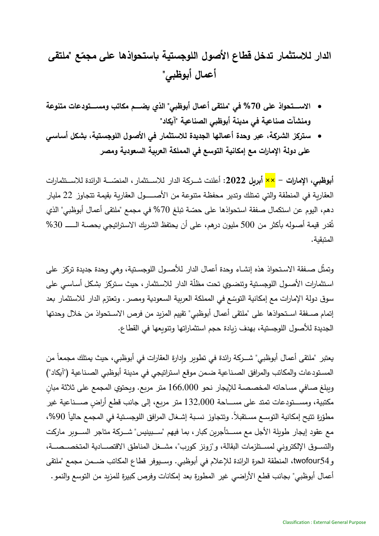**الدار لالستثمار تدخل قطاع األصول اللوجستية باستحواذها على ع ّ مجم " ملتقى أعمال أبوظبي"** 

- **االستتتتتتتحواذ على %70 في "ملتقى أعمال أبوظبي" الذي يضتتتتتب مماتو عمستتتتتتو عا مت وعة**  ومنشآت صناعية ف*ي* مدينة أبوظبي الصناعية "آيكاد"
- **ستتكز الشتكزة، عبك عحدة أعمالها الجديدة لالستتثمار في األصتول اللوجستتية، بشتمل أستاستي**  على دولة الإمارات مع إمكانية التوسع في المملكة العربية السعودية ومصر

أ**بوظبي، الإمارات – <mark>××</mark> أبريل 2022:** أعلنت شــركة الدار للاســتثمار ، المنصّـــة الرائدة للاســتثمارات العقاربة في المنطقة والتي تمتلك وتدير ٍ محفظة متنوعة من الأصـــــول العقاربة بقيمة تتجاوز 22 مليار دهم، اليوم عن استكمال صفقة استحواذها على حصّة تبلغ 70% في مجمع "ملتقى أعمال أبوظبي" الذي تُقدر قيمة أصـوله بأكثر من 500 مليون درهم، على أن يحتفظ الشريك الاستراتيجي بحصـة الــــــ 30% المتبقية.

وتمثّل صـفقة الاسـتحواذ هذه إنشـاء وحدة أعمال الدار للأصـول اللوجسـتية، وهي وحدة جديدة تركز ٍ على استثمارات الأصـول اللوجستية وتنضـوي تحت مظلّة الدار للاستثمار ، حيث ستركز بشكل أسـاسـي على سوق دولة الإمارات مع إمكانية التوسّع في المملكة العربية السعودية ومصر . وتعتزم الدار للاستثمار بعد إتمام صــفقة اســتحواذها على "ملتقى أعمال أبوظبي" تقييم المزبد من فرص الاســتحواذ من خلال وحدتها الجديدة للأصول اللوجستية، بهدف زبادة حجم استثماراتها وتنوبعها في القطاع.

يعتبر "ملتقى أعمال أبوظبي" شـــركة رائدة في تطوير وإدارة العقارات في أبوظبي، حيث يمتلك مجمعاً من المستودعات والمكاتب والمرافق الصناعية ضمن موقع استراتيجي في مدينة أبوظبي الصناعية ("آيكاد") وببلغ صافي مساحاته المخصصة للإيجار نحو 166,000 متر مربع. وبحتوى المجمع على ثلاثة مبان مكتبية، ومســـتودعات تمتد على مســــاحة 132,000 متر مربع، إلى جانب قطع أراضٍ صــــناعية غير مطوّرة تتيح إمكانية التوسـع مسـتقبلا. وتتجاوز نسـبة إشـغال المرافق اللوجسـتية في المجمع حالياً 90%، مع عقود إيجار طويلة الأجل مع مســتأجرين كبار ، بما فيهم "ســبينيس" شـــركة متاجر الســـوبر ماركت والتسـوق الإلكتروني لمسـتلزمات البقالة، و"زونز كورب"، مشـغل المناطق الاقتصــادية المتخصــصــة، و twofour54، المنطقة الحرة الرائدة للإعلام في أبوظبي. وسـيوفر قطاع المكاتب ضــمن مجمع "ملتقى أعمال أبوظبي" بجانب قطع الأراضبي غير المطورة بعد إمكانات وفرص كبيرة للمزبد من التوسع والنمو .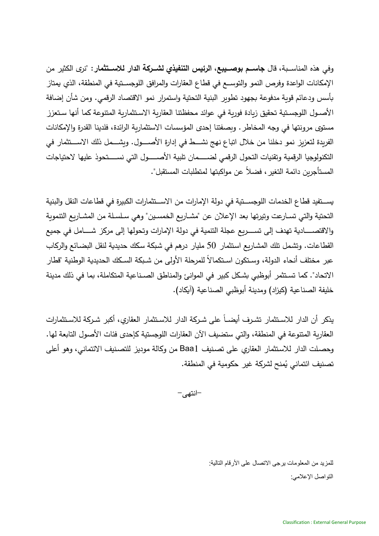وفي هذه المناسـبة، قال **جاسـم بوصــيبع، الرئيس التنفيذي لشــركـة الدار للاســتثمار** : "نرى الكثير من الإمكانات الواعدة وفرص النمو والتوســع في قطاع العقارات والمرافق اللوجســتية في المنطقة، الذي يمتاز بأسس ودعائم قوبة مدفوعة بجهود تطوير البنية التحتية واستمرار نمو الاقتصاد الرقمي. ومن شأن إضافة الأصــول اللوجسـتية تحقيق زبادة فوربة في عوائد محفظتنا العقاربة الاسـتثماربة المتنوعة كما أنها سـتعزز مستوى مرونتها في وجه المخاطر . وبصفتنا إحدى المؤسسات الاستثماربة الرائدة، فلدينا القدرة والإمكانات الفريدة لتعزيز نمو دخلنا من خلال اتباع نهج نشـــط في إدارة الأصــــول. وبشـــمل ذلك الاســـتثمار في التكنولوجيا الرقمية وتقنيات التحول الرقمي لضــــمان تلبية الأصـــــول التي نســــتحوذ عليها لاحتياجات المستأجرين دائمة التغير ، فضلاً عن مواكبتها لمتطلبات المستقبل".

يســتفيد قطاع الخدمات اللوجســتية في دولة الإمارات من الاســتثمارات الكبيرة في قطاعات النقل والبنية التحتية والتي تسـارعت وتيرتها بعد الإعلان عن "مشـاريع الخمسـين" وهي سـلسـلة من المشـاريع التنموية والاقتصـــــادية تهدف إلى تســــربع عجلة التتمية في دولة الإمارات وتحولها إلى مركز شـــــامل في جميع القطاعات. وتشمل تلك المشاريع استثمار 50 مليار درهم في شبكة سكك حديدية لنقل البضـائـع والركاب عبر مختلف أنحاء الدولة، وسـتكون اسـتكمالاً للمرحلة الأولى من شـبكة السـكك الـحديدية الوطنية "قطار الاتحاد". كما تستثمر أبوظبي بشكل كبير في الموانئ والمناطق الصـناعية المتكاملة، بما في ذلك مدينة خليفة الصناعية (كيزاد) ومدينة أبوظبي الصناعية (آيكاد).

يذكر أن الدار للاستثمار تشرف أيضـاً على شـركة الدار للاستثمار العقاري، أكبر شـركة للاسـتثمارات العقاربة المتنوعة في المنطقة، والتي ستضيف الآن العقارات اللوجستية كإحدى فئات الأصول التابعة لها. وحصلت الدار للاستثمار العقاري على تصنيف Baa1 من وكالة موديز للتصنيف الائتماني، وهو أعلى تصنيف ائتماني يُمنح لشركة غير حكومية في المنطقة.

 $-$ انتهے $-$ 

للمزيد من المعلومات يرجى االتصال على األرقام التالية: التواصل الإعلامي: